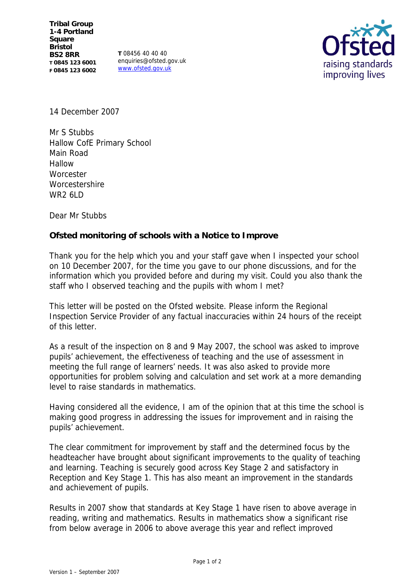**T** 08456 40 40 40 enquiries@ofsted.gov.uk www.ofsted.gov.uk



14 December 2007

Mr S Stubbs Hallow CofE Primary School Main Road Hallow **Worcester Worcestershire** WR<sub>2</sub> 6LD

Dear Mr Stubbs

**Ofsted monitoring of schools with a Notice to Improve**

Thank you for the help which you and your staff gave when I inspected your school on 10 December 2007, for the time you gave to our phone discussions, and for the information which you provided before and during my visit. Could you also thank the staff who I observed teaching and the pupils with whom I met?

This letter will be posted on the Ofsted website. Please inform the Regional Inspection Service Provider of any factual inaccuracies within 24 hours of the receipt of this letter.

As a result of the inspection on 8 and 9 May 2007, the school was asked to improve pupils' achievement, the effectiveness of teaching and the use of assessment in meeting the full range of learners' needs. It was also asked to provide more opportunities for problem solving and calculation and set work at a more demanding level to raise standards in mathematics.

Having considered all the evidence, I am of the opinion that at this time the school is making good progress in addressing the issues for improvement and in raising the pupils' achievement.

The clear commitment for improvement by staff and the determined focus by the headteacher have brought about significant improvements to the quality of teaching and learning. Teaching is securely good across Key Stage 2 and satisfactory in Reception and Key Stage 1. This has also meant an improvement in the standards and achievement of pupils.

Results in 2007 show that standards at Key Stage 1 have risen to above average in reading, writing and mathematics. Results in mathematics show a significant rise from below average in 2006 to above average this year and reflect improved